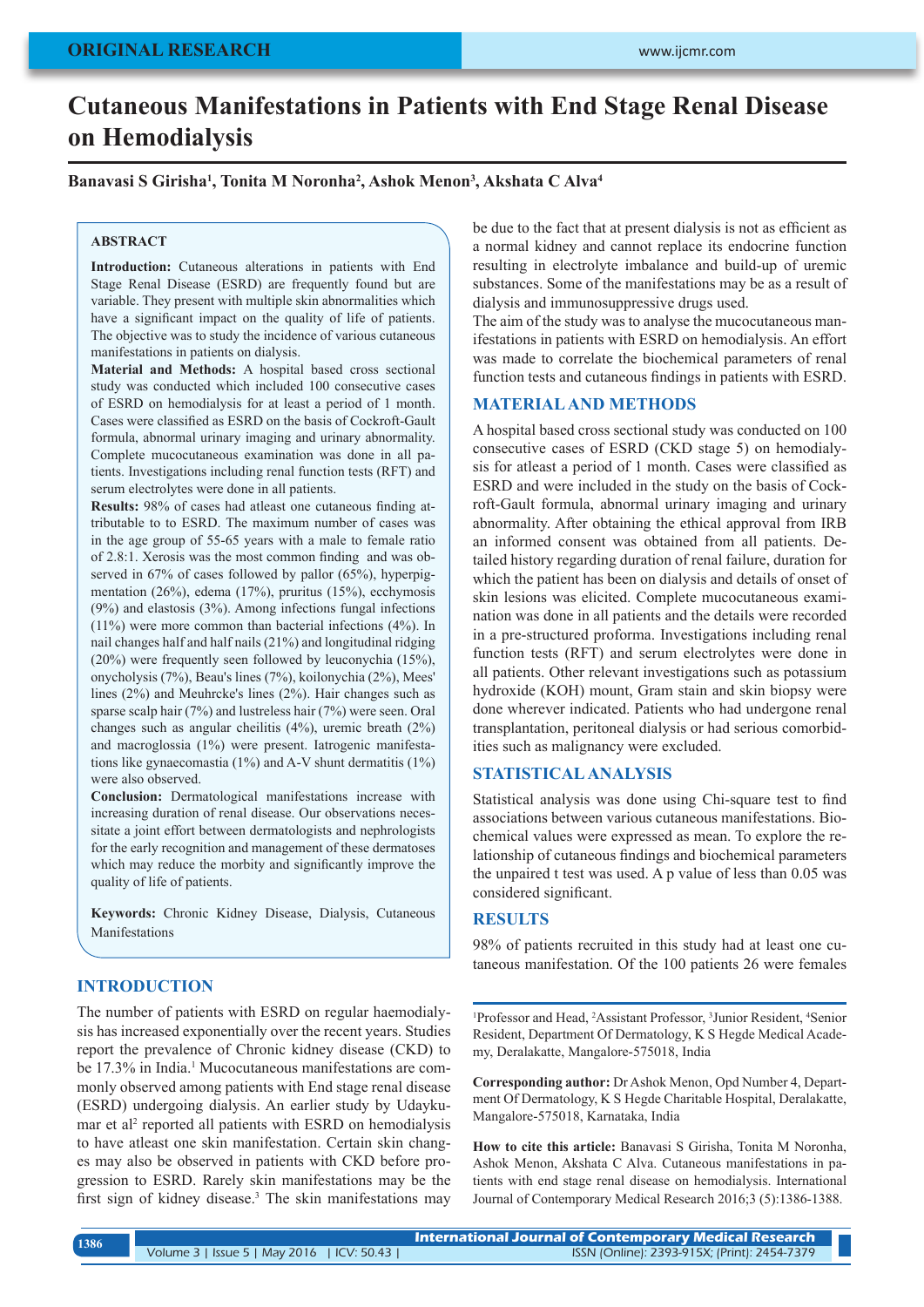# **Cutaneous Manifestations in Patients with End Stage Renal Disease on Hemodialysis**

### **Banavasi S Girisha1 , Tonita M Noronha2 , Ashok Menon3 , Akshata C Alva4**

#### **ABSTRACT**

**Introduction:** Cutaneous alterations in patients with End Stage Renal Disease (ESRD) are frequently found but are variable. They present with multiple skin abnormalities which have a significant impact on the quality of life of patients. The objective was to study the incidence of various cutaneous manifestations in patients on dialysis.

**Material and Methods:** A hospital based cross sectional study was conducted which included 100 consecutive cases of ESRD on hemodialysis for at least a period of 1 month. Cases were classified as ESRD on the basis of Cockroft-Gault formula, abnormal urinary imaging and urinary abnormality. Complete mucocutaneous examination was done in all patients. Investigations including renal function tests (RFT) and serum electrolytes were done in all patients.

**Results:** 98% of cases had at least one cutaneous finding attributable to to ESRD. The maximum number of cases was in the age group of 55-65 years with a male to female ratio of 2.8:1. Xerosis was the most common finding and was observed in 67% of cases followed by pallor (65%), hyperpigmentation (26%), edema (17%), pruritus (15%), ecchymosis (9%) and elastosis (3%). Among infections fungal infections (11%) were more common than bacterial infections (4%). In nail changes half and half nails (21%) and longitudinal ridging (20%) were frequently seen followed by leuconychia (15%), onycholysis (7%), Beau's lines (7%), koilonychia (2%), Mees' lines (2%) and Meuhrcke's lines (2%). Hair changes such as sparse scalp hair (7%) and lustreless hair (7%) were seen. Oral changes such as angular cheilitis (4%), uremic breath (2%) and macroglossia (1%) were present. Iatrogenic manifestations like gynaecomastia (1%) and A-V shunt dermatitis (1%) were also observed.

**Conclusion:** Dermatological manifestations increase with increasing duration of renal disease. Our observations necessitate a joint effort between dermatologists and nephrologists for the early recognition and management of these dermatoses which may reduce the morbity and significantly improve the quality of life of patients.

**Keywords:** Chronic Kidney Disease, Dialysis, Cutaneous Manifestations

### **INTRODUCTION**

The number of patients with ESRD on regular haemodialysis has increased exponentially over the recent years. Studies report the prevalence of Chronic kidney disease (CKD) to be 17.3% in India.<sup>1</sup> Mucocutaneous manifestations are commonly observed among patients with End stage renal disease (ESRD) undergoing dialysis. An earlier study by Udaykumar et al<sup>2</sup> reported all patients with ESRD on hemodialysis to have atleast one skin manifestation. Certain skin changes may also be observed in patients with CKD before progression to ESRD. Rarely skin manifestations may be the first sign of kidney disease.<sup>3</sup> The skin manifestations may be due to the fact that at present dialysis is not as efficient as a normal kidney and cannot replace its endocrine function resulting in electrolyte imbalance and build-up of uremic substances. Some of the manifestations may be as a result of dialysis and immunosuppressive drugs used.

The aim of the study was to analyse the mucocutaneous manifestations in patients with ESRD on hemodialysis. An effort was made to correlate the biochemical parameters of renal function tests and cutaneous findings in patients with ESRD.

### **MATERIAL AND METHODS**

A hospital based cross sectional study was conducted on 100 consecutive cases of ESRD (CKD stage 5) on hemodialysis for atleast a period of 1 month. Cases were classified as ESRD and were included in the study on the basis of Cockroft-Gault formula, abnormal urinary imaging and urinary abnormality. After obtaining the ethical approval from IRB an informed consent was obtained from all patients. Detailed history regarding duration of renal failure, duration for which the patient has been on dialysis and details of onset of skin lesions was elicited. Complete mucocutaneous examination was done in all patients and the details were recorded in a pre-structured proforma. Investigations including renal function tests (RFT) and serum electrolytes were done in all patients. Other relevant investigations such as potassium hydroxide (KOH) mount, Gram stain and skin biopsy were done wherever indicated. Patients who had undergone renal transplantation, peritoneal dialysis or had serious comorbidities such as malignancy were excluded.

### **STATISTICAL ANALYSIS**

Statistical analysis was done using Chi-square test to find associations between various cutaneous manifestations. Biochemical values were expressed as mean. To explore the relationship of cutaneous findings and biochemical parameters the unpaired t test was used. A p value of less than 0.05 was considered significant.

### **RESULTS**

98% of patients recruited in this study had at least one cutaneous manifestation. Of the 100 patients 26 were females

<sup>1</sup>Professor and Head, <sup>2</sup>Assistant Professor, <sup>3</sup>Junior Resident, <sup>4</sup>Senior Resident, Department Of Dermatology, K S Hegde Medical Academy, Deralakatte, Mangalore-575018, India

**Corresponding author:** Dr Ashok Menon, Opd Number 4, Department Of Dermatology, K S Hegde Charitable Hospital, Deralakatte, Mangalore-575018, Karnataka, India

**How to cite this article:** Banavasi S Girisha, Tonita M Noronha, Ashok Menon, Akshata C Alva. Cutaneous manifestations in patients with end stage renal disease on hemodialysis. International Journal of Contemporary Medical Research 2016;3 (5):1386-1388.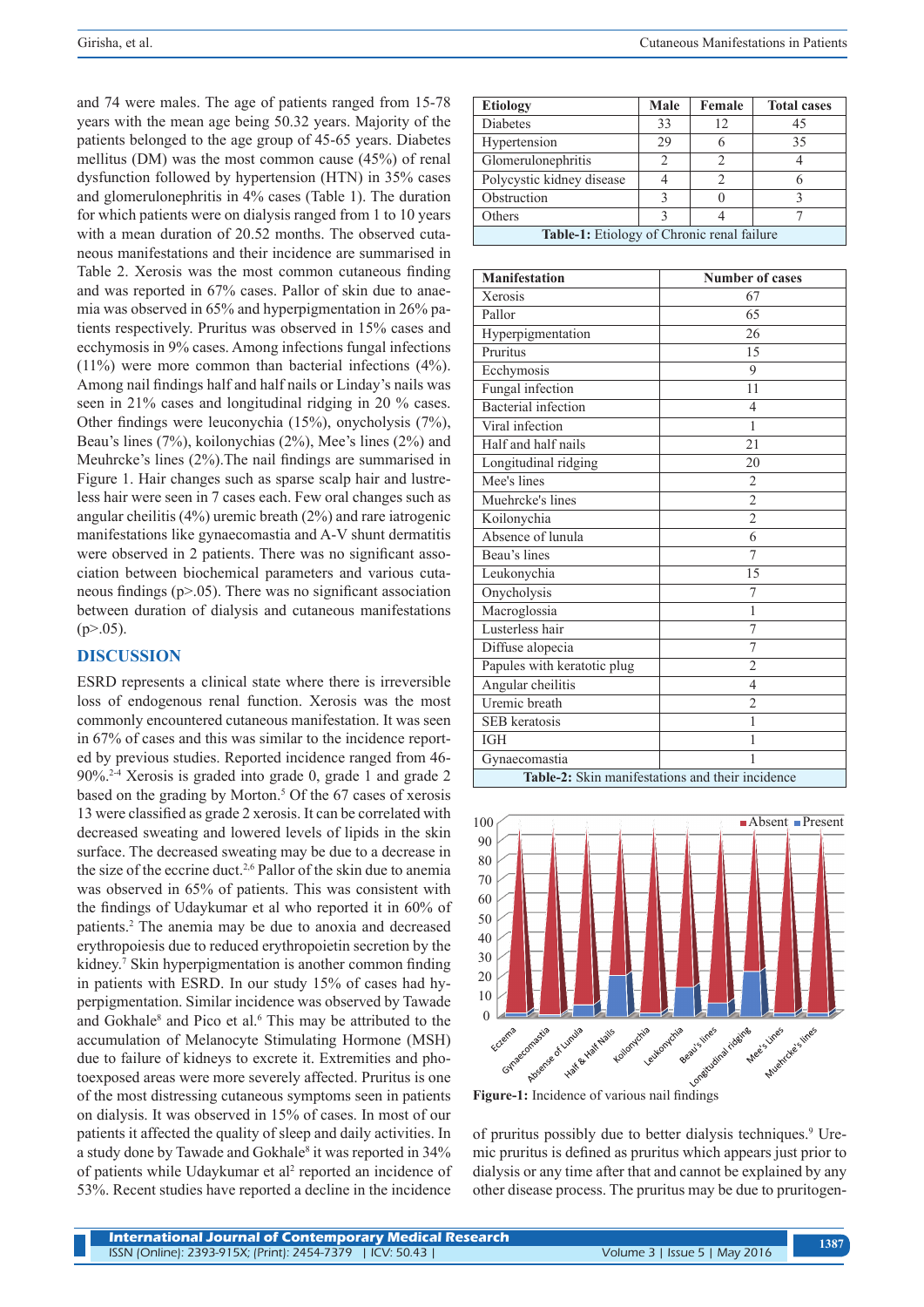and 74 were males. The age of patients ranged from 15-78 years with the mean age being 50.32 years. Majority of the patients belonged to the age group of 45-65 years. Diabetes mellitus (DM) was the most common cause (45%) of renal dysfunction followed by hypertension (HTN) in 35% cases and glomerulonephritis in 4% cases (Table 1). The duration for which patients were on dialysis ranged from 1 to 10 years with a mean duration of 20.52 months. The observed cutaneous manifestations and their incidence are summarised in Table 2. Xerosis was the most common cutaneous finding and was reported in 67% cases. Pallor of skin due to anaemia was observed in 65% and hyperpigmentation in 26% patients respectively. Pruritus was observed in 15% cases and ecchymosis in 9% cases. Among infections fungal infections (11%) were more common than bacterial infections (4%). Among nail findings half and half nails or Linday's nails was seen in 21% cases and longitudinal ridging in 20 % cases. Other findings were leuconychia (15%), onycholysis (7%), Beau's lines (7%), koilonychias (2%), Mee's lines (2%) and Meuhrcke's lines (2%).The nail findings are summarised in Figure 1. Hair changes such as sparse scalp hair and lustreless hair were seen in 7 cases each. Few oral changes such as angular cheilitis (4%) uremic breath (2%) and rare iatrogenic manifestations like gynaecomastia and A-V shunt dermatitis were observed in 2 patients. There was no significant association between biochemical parameters and various cutaneous findings (p>.05). There was no significant association between duration of dialysis and cutaneous manifestations  $(p > 0.05)$ .

### **DISCUSSION**

ESRD represents a clinical state where there is irreversible loss of endogenous renal function. Xerosis was the most commonly encountered cutaneous manifestation. It was seen in 67% of cases and this was similar to the incidence reported by previous studies. Reported incidence ranged from 46- 90%.2-4 Xerosis is graded into grade 0, grade 1 and grade 2 based on the grading by Morton.<sup>5</sup> Of the 67 cases of xerosis 13 were classified as grade 2 xerosis. It can be correlated with decreased sweating and lowered levels of lipids in the skin surface. The decreased sweating may be due to a decrease in the size of the eccrine duct.2,6 Pallor of the skin due to anemia was observed in 65% of patients. This was consistent with the findings of Udaykumar et al who reported it in 60% of patients.2 The anemia may be due to anoxia and decreased erythropoiesis due to reduced erythropoietin secretion by the kidney.<sup>7</sup> Skin hyperpigmentation is another common finding in patients with ESRD. In our study 15% of cases had hyperpigmentation. Similar incidence was observed by Tawade and Gokhale<sup>8</sup> and Pico et al.<sup>6</sup> This may be attributed to the accumulation of Melanocyte Stimulating Hormone (MSH) due to failure of kidneys to excrete it. Extremities and photoexposed areas were more severely affected. Pruritus is one of the most distressing cutaneous symptoms seen in patients on dialysis. It was observed in 15% of cases. In most of our patients it affected the quality of sleep and daily activities. In a study done by Tawade and Gokhale<sup>8</sup> it was reported in 34% of patients while Udaykumar et al<sup>2</sup> reported an incidence of 53%. Recent studies have reported a decline in the incidence

| <b>Etiology</b>                            | Male              | Female | <b>Total cases</b> |
|--------------------------------------------|-------------------|--------|--------------------|
| <b>Diabetes</b>                            | 33                | 12     | 45                 |
| Hypertension                               | 29                |        | 35                 |
| Glomerulonephritis                         | 2                 |        |                    |
| Polycystic kidney disease                  |                   | 2      |                    |
| Obstruction                                | 3                 |        |                    |
| Others                                     | $\mathbf{\Omega}$ |        |                    |
| Table-1: Etiology of Chronic renal failure |                   |        |                    |

| <b>Manifestation</b>                             | <b>Number of cases</b> |  |
|--------------------------------------------------|------------------------|--|
| Xerosis                                          | 67                     |  |
| Pallor                                           | 65                     |  |
| Hyperpigmentation                                | 26                     |  |
| Pruritus                                         | 15                     |  |
| Ecchymosis                                       | 9                      |  |
| Fungal infection                                 | 11                     |  |
| <b>Bacterial</b> infection                       | $\overline{4}$         |  |
| Viral infection                                  | 1                      |  |
| Half and half nails                              | 21                     |  |
| Longitudinal ridging                             | 20                     |  |
| Mee's lines                                      | $\overline{2}$         |  |
| Muehrcke's lines                                 | $\overline{c}$         |  |
| Koilonychia                                      | $\overline{2}$         |  |
| Absence of lunula                                | 6                      |  |
| Beau's lines                                     | 7                      |  |
| Leukonychia                                      | 15                     |  |
| Onycholysis                                      | 7                      |  |
| Macroglossia                                     | 1                      |  |
| Lusterless hair                                  | 7                      |  |
| Diffuse alopecia                                 | 7                      |  |
| Papules with keratotic plug                      | $\overline{2}$         |  |
| Angular cheilitis                                | $\overline{4}$         |  |
| Uremic breath                                    | $\overline{2}$         |  |
| <b>SEB</b> keratosis                             | 1                      |  |
| <b>IGH</b>                                       | 1                      |  |
| Gynaecomastia                                    | 1                      |  |
| Table-2: Skin manifestations and their incidence |                        |  |



of pruritus possibly due to better dialysis techniques.<sup>9</sup> Uremic pruritus is defined as pruritus which appears just prior to dialysis or any time after that and cannot be explained by any other disease process. The pruritus may be due to pruritogen-